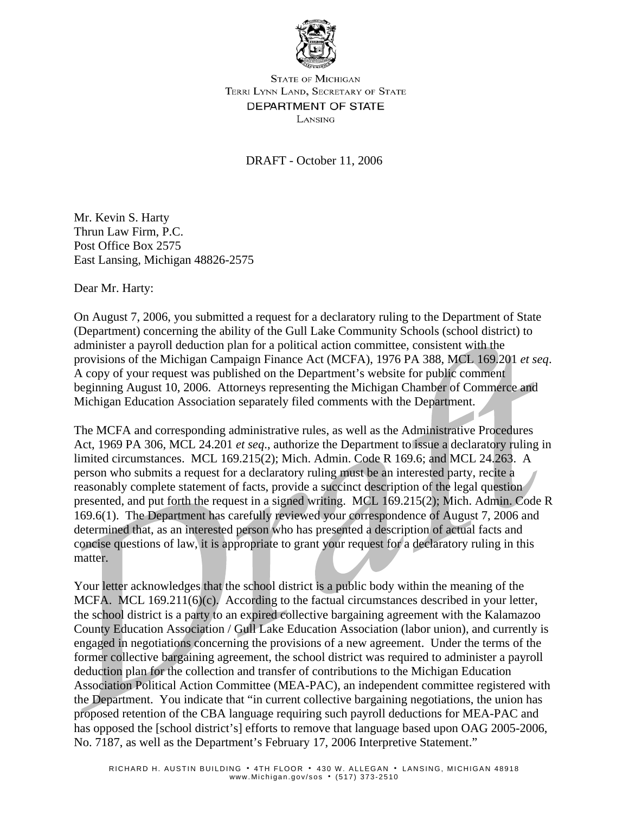

**STATE OF MICHIGAN** TERRI LYNN LAND, SECRETARY OF STATE DEPARTMENT OF STATE LANSING

DRAFT - October 11, 2006

Mr. Kevin S. Harty Thrun Law Firm, P.C. Post Office Box 2575 East Lansing, Michigan 48826-2575

Dear Mr. Harty:

On August 7, 2006, you submitted a request for a declaratory ruling to the Department of State (Department) concerning the ability of the Gull Lake Community Schools (school district) to administer a payroll deduction plan for a political action committee, consistent with the provisions of the Michigan Campaign Finance Act (MCFA), 1976 PA 388, MCL 169.201 *et seq*. A copy of your request was published on the Department's website for public comment beginning August 10, 2006. Attorneys representing the Michigan Chamber of Commerce and Michigan Education Association separately filed comments with the Department.

The MCFA and corresponding administrative rules, as well as the Administrative Procedures Act, 1969 PA 306, MCL 24.201 *et seq*., authorize the Department to issue a declaratory ruling in limited circumstances. MCL 169.215(2); Mich. Admin. Code R 169.6; and MCL 24.263. A person who submits a request for a declaratory ruling must be an interested party, recite a reasonably complete statement of facts, provide a succinct description of the legal question presented, and put forth the request in a signed writing. MCL 169.215(2); Mich. Admin. Code R 169.6(1). The Department has carefully reviewed your correspondence of August 7, 2006 and determined that, as an interested person who has presented a description of actual facts and concise questions of law, it is appropriate to grant your request for a declaratory ruling in this matter.

Your letter acknowledges that the school district is a public body within the meaning of the MCFA. MCL  $169.211(6)(c)$ . According to the factual circumstances described in your letter, the school district is a party to an expired collective bargaining agreement with the Kalamazoo County Education Association / Gull Lake Education Association (labor union), and currently is engaged in negotiations concerning the provisions of a new agreement. Under the terms of the former collective bargaining agreement, the school district was required to administer a payroll deduction plan for the collection and transfer of contributions to the Michigan Education Association Political Action Committee (MEA-PAC), an independent committee registered with the Department. You indicate that "in current collective bargaining negotiations, the union has proposed retention of the CBA language requiring such payroll deductions for MEA-PAC and has opposed the [school district's] efforts to remove that language based upon OAG 2005-2006, No. 7187, as well as the Department's February 17, 2006 Interpretive Statement."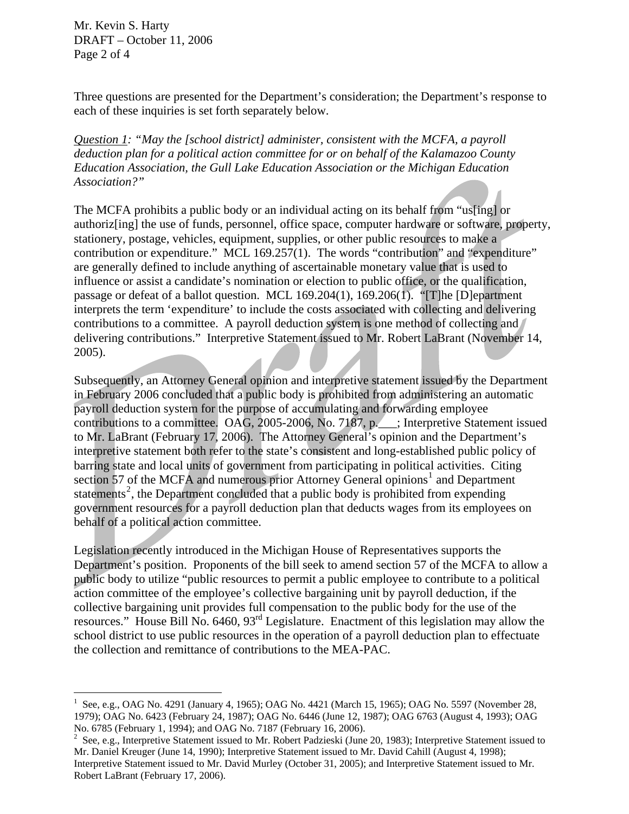Mr. Kevin S. Harty DRAFT – October 11, 2006 Page 2 of 4

 $\overline{a}$ 

Three questions are presented for the Department's consideration; the Department's response to each of these inquiries is set forth separately below.

*Question 1: "May the [school district] administer, consistent with the MCFA, a payroll deduction plan for a political action committee for or on behalf of the Kalamazoo County Education Association, the Gull Lake Education Association or the Michigan Education Association?"* 

The MCFA prohibits a public body or an individual acting on its behalf from "us[ing] or authoriz[ing] the use of funds, personnel, office space, computer hardware or software, property, stationery, postage, vehicles, equipment, supplies, or other public resources to make a contribution or expenditure." MCL 169.257(1). The words "contribution" and "expenditure" are generally defined to include anything of ascertainable monetary value that is used to influence or assist a candidate's nomination or election to public office, or the qualification, passage or defeat of a ballot question. MCL 169.204(1), 169.206(1). "[T]he [D]epartment interprets the term 'expenditure' to include the costs associated with collecting and delivering contributions to a committee. A payroll deduction system is one method of collecting and delivering contributions." Interpretive Statement issued to Mr. Robert LaBrant (November 14, 2005).

Subsequently, an Attorney General opinion and interpretive statement issued by the Department in February 2006 concluded that a public body is prohibited from administering an automatic payroll deduction system for the purpose of accumulating and forwarding employee contributions to a committee. OAG, 2005-2006, No. 7187, p.\_\_\_; Interpretive Statement issued to Mr. LaBrant (February 17, 2006). The Attorney General's opinion and the Department's interpretive statement both refer to the state's consistent and long-established public policy of barring state and local units of government from participating in political activities. Citing section 57 of the MCFA and numerous prior Attorney General opinions<sup>[1](#page-1-0)</sup> and Department statements<sup>[2](#page-1-1)</sup>, the Department concluded that a public body is prohibited from expending government resources for a payroll deduction plan that deducts wages from its employees on behalf of a political action committee.

Legislation recently introduced in the Michigan House of Representatives supports the Department's position. Proponents of the bill seek to amend section 57 of the MCFA to allow a public body to utilize "public resources to permit a public employee to contribute to a political action committee of the employee's collective bargaining unit by payroll deduction, if the collective bargaining unit provides full compensation to the public body for the use of the resources." House Bill No. 6460, 93rd Legislature. Enactment of this legislation may allow the school district to use public resources in the operation of a payroll deduction plan to effectuate the collection and remittance of contributions to the MEA-PAC.

<span id="page-1-0"></span><sup>&</sup>lt;sup>1</sup> See, e.g., OAG No. 4291 (January 4, 1965); OAG No. 4421 (March 15, 1965); OAG No. 5597 (November 28, 1979); OAG No. 6423 (February 24, 1987); OAG No. 6446 (June 12, 1987); OAG 6763 (August 4, 1993); OAG No. 6785 (February 1, 1994); and OAG No. 7187 (February 16, 2006).

<span id="page-1-1"></span><sup>&</sup>lt;sup>2</sup> See, e.g., Interpretive Statement issued to Mr. Robert Padzieski (June 20, 1983); Interpretive Statement issued to Mr. Daniel Kreuger (June 14, 1990); Interpretive Statement issued to Mr. David Cahill (August 4, 1998); Interpretive Statement issued to Mr. David Murley (October 31, 2005); and Interpretive Statement issued to Mr. Robert LaBrant (February 17, 2006).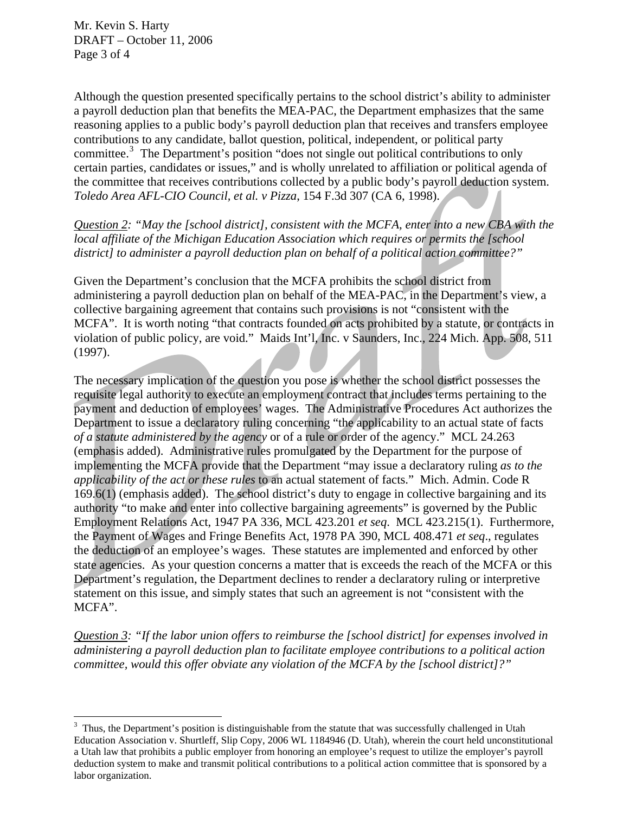$\overline{a}$ 

Although the question presented specifically pertains to the school district's ability to administer a payroll deduction plan that benefits the MEA-PAC, the Department emphasizes that the same reasoning applies to a public body's payroll deduction plan that receives and transfers employee contributions to any candidate, ballot question, political, independent, or political party committee.<sup>[3](#page-2-0)</sup> The Department's position "does not single out political contributions to only certain parties, candidates or issues," and is wholly unrelated to affiliation or political agenda of the committee that receives contributions collected by a public body's payroll deduction system. *Toledo Area AFL-CIO Council, et al. v Pizza*, 154 F.3d 307 (CA 6, 1998).

*Question 2: "May the [school district], consistent with the MCFA, enter into a new CBA with the local affiliate of the Michigan Education Association which requires or permits the [school district] to administer a payroll deduction plan on behalf of a political action committee?"* 

Given the Department's conclusion that the MCFA prohibits the school district from administering a payroll deduction plan on behalf of the MEA-PAC, in the Department's view, a collective bargaining agreement that contains such provisions is not "consistent with the MCFA". It is worth noting "that contracts founded on acts prohibited by a statute, or contracts in violation of public policy, are void." Maids Int'l, Inc. v Saunders, Inc., 224 Mich. App. 508, 511 (1997).

The necessary implication of the question you pose is whether the school district possesses the requisite legal authority to execute an employment contract that includes terms pertaining to the payment and deduction of employees' wages. The Administrative Procedures Act authorizes the Department to issue a declaratory ruling concerning "the applicability to an actual state of facts *of a statute administered by the agency* or of a rule or order of the agency." MCL 24.263 (emphasis added). Administrative rules promulgated by the Department for the purpose of implementing the MCFA provide that the Department "may issue a declaratory ruling *as to the applicability of the act or these rules* to an actual statement of facts." Mich. Admin. Code R 169.6(1) (emphasis added). The school district's duty to engage in collective bargaining and its authority "to make and enter into collective bargaining agreements" is governed by the Public Employment Relations Act, 1947 PA 336, MCL 423.201 *et seq*. MCL 423.215(1). Furthermore, the Payment of Wages and Fringe Benefits Act, 1978 PA 390, MCL 408.471 *et seq*., regulates the deduction of an employee's wages. These statutes are implemented and enforced by other state agencies. As your question concerns a matter that is exceeds the reach of the MCFA or this Department's regulation, the Department declines to render a declaratory ruling or interpretive statement on this issue, and simply states that such an agreement is not "consistent with the MCFA".

*Question 3: "If the labor union offers to reimburse the [school district] for expenses involved in administering a payroll deduction plan to facilitate employee contributions to a political action committee, would this offer obviate any violation of the MCFA by the [school district]?"* 

<span id="page-2-0"></span> $3$  Thus, the Department's position is distinguishable from the statute that was successfully challenged in Utah Education Association v. Shurtleff, Slip Copy, 2006 WL 1184946 (D. Utah), wherein the court held unconstitutional a Utah law that prohibits a public employer from honoring an employee's request to utilize the employer's payroll deduction system to make and transmit political contributions to a political action committee that is sponsored by a labor organization.